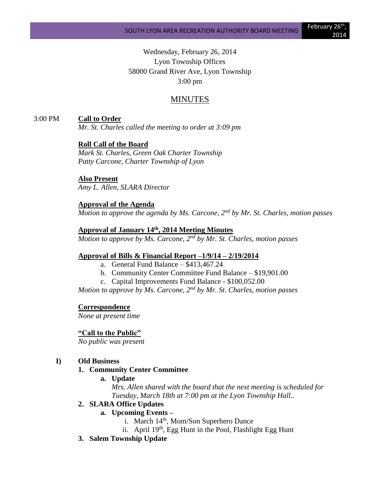# Wednesday, February 26, 2014 Lyon Township Offices 58000 Grand River Ave, Lyon Township 3:00 pm

# MINUTES

## 3:00 PM **Call to Order**

*Mr. St. Charles called the meeting to order at 3:09 pm*

### **Roll Call of the Board**

*Mark St. Charles, Green Oak Charter Township Patty Carcone, Charter Township of Lyon* 

### **Also Present**

*Amy L. Allen, SLARA Director*

## **Approval of the Agenda**

*Motion to approve the agenda by Ms. Carcone, 2nd by Mr. St. Charles, motion passes*

### **Approval of January 14th, 2014 Meeting Minutes**

*Motion to approve by Ms. Carcone, 2nd by Mr. St. Charles, motion passes*

### **Approval of Bills & Financial Report –1/9/14 – 2/19/2014**

- a. General Fund Balance \$413,467.24
- b. Community Center Committee Fund Balance \$19,901.00
- c. Capital Improvements Fund Balance \$100,052.00

*Motion to approve by Ms. Carcone, 2nd by Mr. St. Charles, motion passes*

#### **Correspondence**

*None at present time*

#### **"Call to the Public"**

*No public was present*

## **I) Old Business**

### **1. Community Center Committee**

**a. Update**

*Mrs. Allen shared with the board that the next meeting is scheduled for Tuesday, March 18th at 7:00 pm at the Lyon Township Hall..* 

### **2. SLARA Office Updates**

- **a. Upcoming Events –**
	- i. March 14<sup>th</sup>, Mom/Son Superhero Dance
	- ii. April  $19<sup>th</sup>$ , Egg Hunt in the Pool, Flashlight Egg Hunt
- **3. Salem Township Update**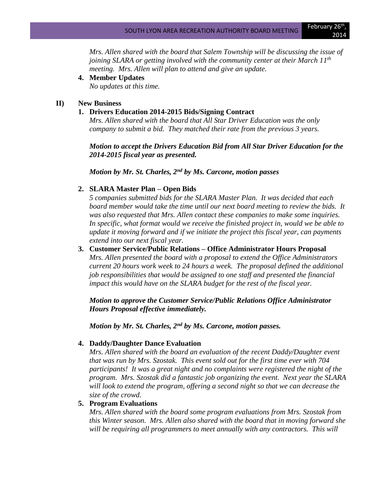*Mrs. Allen shared with the board that Salem Township will be discussing the issue of joining SLARA or getting involved with the community center at their March 11th meeting. Mrs. Allen will plan to attend and give an update.*

**4. Member Updates**

*No updates at this time.*

## **II) New Business**

## **1. Drivers Education 2014-2015 Bids/Signing Contract**

*Mrs. Allen shared with the board that All Star Driver Education was the only company to submit a bid. They matched their rate from the previous 3 years.* 

*Motion to accept the Drivers Education Bid from All Star Driver Education for the 2014-2015 fiscal year as presented.*

*Motion by Mr. St. Charles, 2nd by Ms. Carcone, motion passes*

## **2. SLARA Master Plan – Open Bids**

*5 companies submitted bids for the SLARA Master Plan. It was decided that each board member would take the time until our next board meeting to review the bids. It was also requested that Mrs. Allen contact these companies to make some inquiries. In specific, what format would we receive the finished project in, would we be able to update it moving forward and if we initiate the project this fiscal year, can payments extend into our next fiscal year.*

**3. Customer Service/Public Relations – Office Administrator Hours Proposal** *Mrs. Allen presented the board with a proposal to extend the Office Administrators current 20 hours work week to 24 hours a week. The proposal defined the additional job responsibilities that would be assigned to one staff and presented the financial impact this would have on the SLARA budget for the rest of the fiscal year.*

*Motion to approve the Customer Service/Public Relations Office Administrator Hours Proposal effective immediately.* 

*Motion by Mr. St. Charles, 2nd by Ms. Carcone, motion passes.*

## **4. Daddy/Daughter Dance Evaluation**

*Mrs. Allen shared with the board an evaluation of the recent Daddy/Daughter event that was run by Mrs. Szostak. This event sold out for the first time ever with 704 participants! It was a great night and no complaints were registered the night of the program. Mrs. Szostak did a fantastic job organizing the event. Next year the SLARA will look to extend the program, offering a second night so that we can decrease the size of the crowd.* 

## **5. Program Evaluations**

*Mrs. Allen shared with the board some program evaluations from Mrs. Szostak from this Winter season. Mrs. Allen also shared with the board that in moving forward she*  will be requiring all programmers to meet annually with any contractors. This will